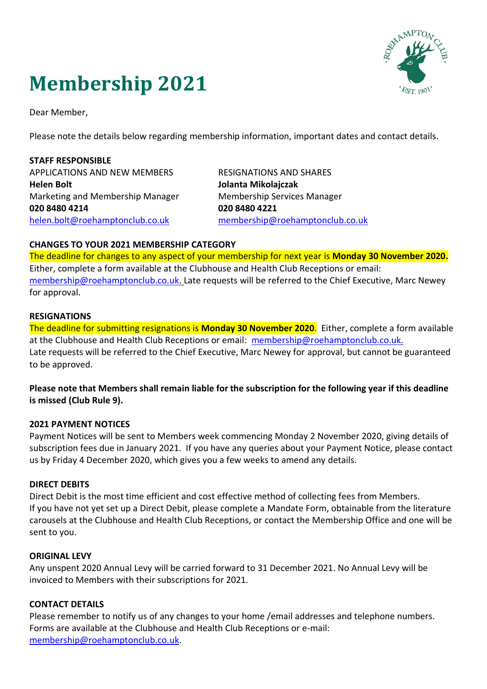# **Membership 2021**



Dear Member,

Please note the details below regarding membership information, important dates and contact details.

**STAFF RESPONSIBLE** APPLICATIONS AND NEW MEMBERS **Helen Bolt** Marketing and Membership Manager **020 8480 4214** [helen.bolt@roehamptonclub.co.uk](mailto:helen.bolt@roehamptonclub.co.uk)

RESIGNATIONS AND SHARES **Jolanta Mikolajczak**  Membership Services Manager **020 8480 4221** [membership@roehamptonclub.co.uk](mailto:membership@roehamptonclub.co.uk)

## **CHANGES TO YOUR 2021 MEMBERSHIP CATEGORY**

The deadline for changes to any aspect of your membership for next year is **Monday 30 November 2020.** Either, complete a form available at the Clubhouse and Health Club Receptions or email: [membership@roehamptonclub.co.uk.](mailto:membership@roehamptonclub.co.uk) Late requests will be referred to the Chief Executive, Marc Newey for approval.

## **RESIGNATIONS**

The deadline for submitting resignations is **Monday 30 November 2020**. Either, complete a form available at the Clubhouse and Health Club Receptions or email: [membership@roehamptonclub.co.uk.](mailto:membership@roehamptonclub.co.uk) Late requests will be referred to the Chief Executive, Marc Newey for approval, but cannot be guaranteed to be approved.

**Please note that Members shall remain liable for the subscription for the following year if this deadline is missed (Club Rule 9).**

## **2021 PAYMENT NOTICES**

Payment Notices will be sent to Members week commencing Monday 2 November 2020, giving details of subscription fees due in January 2021. If you have any queries about your Payment Notice, please contact us by Friday 4 December 2020, which gives you a few weeks to amend any details.

# **DIRECT DEBITS**

Direct Debit is the most time efficient and cost effective method of collecting fees from Members. If you have not yet set up a Direct Debit, please complete a Mandate Form, obtainable from the literature carousels at the Clubhouse and Health Club Receptions, or contact the Membership Office and one will be sent to you.

## **ORIGINAL LEVY**

Any unspent 2020 Annual Levy will be carried forward to 31 December 2021. No Annual Levy will be invoiced to Members with their subscriptions for 2021.

# **CONTACT DETAILS**

Please remember to notify us of any changes to your home /email addresses and telephone numbers. Forms are available at the Clubhouse and Health Club Receptions or e-mail: [membership@roehamptonclub.co.uk.](mailto:membership@roehamptonclub.co.uk)